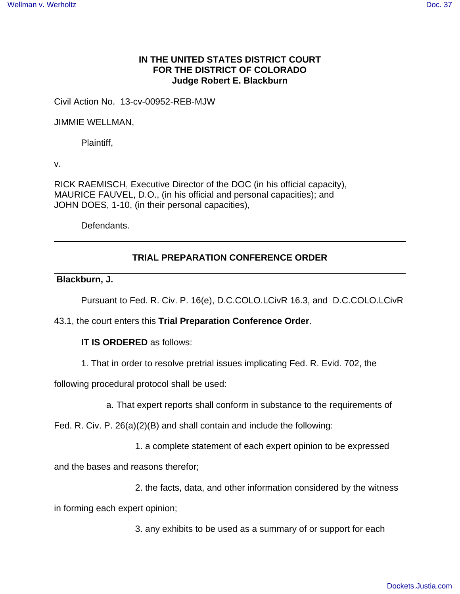# **IN THE UNITED STATES DISTRICT COURT FOR THE DISTRICT OF COLORADO Judge Robert E. Blackburn**

Civil Action No. 13-cv-00952-REB-MJW

JIMMIE WELLMAN,

Plaintiff,

v.

RICK RAEMISCH, Executive Director of the DOC (in his official capacity), MAURICE FAUVEL, D.O., (in his official and personal capacities); and JOHN DOES, 1-10, (in their personal capacities),

Defendants.

## **TRIAL PREPARATION CONFERENCE ORDER**

### **Blackburn, J.**

Pursuant to Fed. R. Civ. P. 16(e), D.C.COLO.LCivR 16.3, and D.C.COLO.LCivR

43.1, the court enters this **Trial Preparation Conference Order**.

## **IT IS ORDERED** as follows:

1. That in order to resolve pretrial issues implicating Fed. R. Evid. 702, the

following procedural protocol shall be used:

a. That expert reports shall conform in substance to the requirements of

Fed. R. Civ. P. 26(a)(2)(B) and shall contain and include the following:

1. a complete statement of each expert opinion to be expressed

and the bases and reasons therefor;

2. the facts, data, and other information considered by the witness

in forming each expert opinion;

3. any exhibits to be used as a summary of or support for each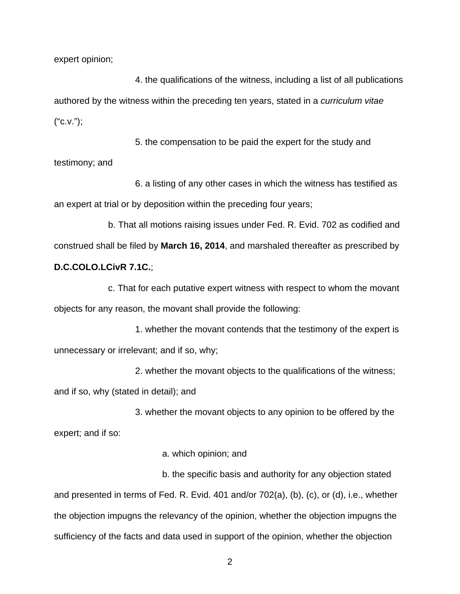expert opinion;

4. the qualifications of the witness, including a list of all publications authored by the witness within the preceding ten years, stated in a curriculum vitae  $("C.V."):$ 

5. the compensation to be paid the expert for the study and testimony; and

6. a listing of any other cases in which the witness has testified as an expert at trial or by deposition within the preceding four years;

b. That all motions raising issues under Fed. R. Evid. 702 as codified and construed shall be filed by **March 16, 2014**, and marshaled thereafter as prescribed by **D.C.COLO.LCivR 7.1C.**;

c. That for each putative expert witness with respect to whom the movant objects for any reason, the movant shall provide the following:

1. whether the movant contends that the testimony of the expert is unnecessary or irrelevant; and if so, why;

2. whether the movant objects to the qualifications of the witness; and if so, why (stated in detail); and

3. whether the movant objects to any opinion to be offered by the expert; and if so:

a. which opinion; and

b. the specific basis and authority for any objection stated and presented in terms of Fed. R. Evid. 401 and/or 702(a), (b), (c), or (d), i.e., whether the objection impugns the relevancy of the opinion, whether the objection impugns the sufficiency of the facts and data used in support of the opinion, whether the objection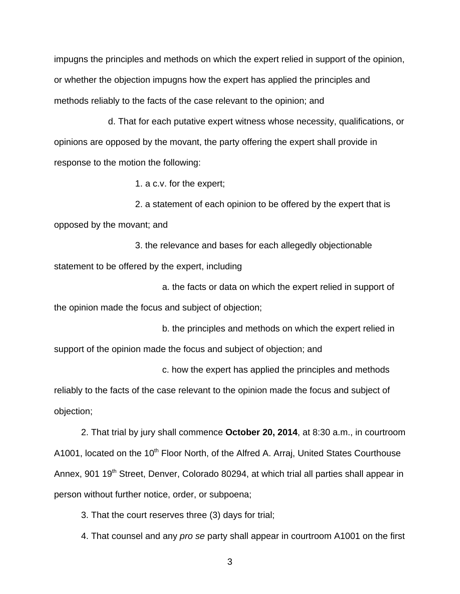impugns the principles and methods on which the expert relied in support of the opinion, or whether the objection impugns how the expert has applied the principles and methods reliably to the facts of the case relevant to the opinion; and

d. That for each putative expert witness whose necessity, qualifications, or opinions are opposed by the movant, the party offering the expert shall provide in response to the motion the following:

1. a c.v. for the expert;

2. a statement of each opinion to be offered by the expert that is opposed by the movant; and

3. the relevance and bases for each allegedly objectionable statement to be offered by the expert, including

a. the facts or data on which the expert relied in support of the opinion made the focus and subject of objection;

b. the principles and methods on which the expert relied in support of the opinion made the focus and subject of objection; and

c. how the expert has applied the principles and methods

reliably to the facts of the case relevant to the opinion made the focus and subject of objection;

2. That trial by jury shall commence **October 20, 2014**, at 8:30 a.m., in courtroom A1001, located on the 10<sup>th</sup> Floor North, of the Alfred A. Arraj, United States Courthouse Annex, 901 19<sup>th</sup> Street, Denver, Colorado 80294, at which trial all parties shall appear in person without further notice, order, or subpoena;

3. That the court reserves three (3) days for trial;

4. That counsel and any pro se party shall appear in courtroom A1001 on the first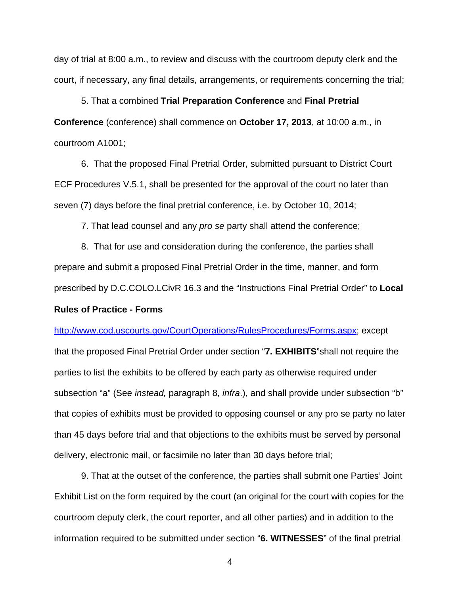day of trial at 8:00 a.m., to review and discuss with the courtroom deputy clerk and the court, if necessary, any final details, arrangements, or requirements concerning the trial;

5. That a combined **Trial Preparation Conference** and **Final Pretrial Conference** (conference) shall commence on **October 17, 2013**, at 10:00 a.m., in courtroom A1001;

6. That the proposed Final Pretrial Order, submitted pursuant to District Court ECF Procedures V.5.1, shall be presented for the approval of the court no later than seven (7) days before the final pretrial conference, i.e. by October 10, 2014;

7. That lead counsel and any pro se party shall attend the conference;

8. That for use and consideration during the conference, the parties shall prepare and submit a proposed Final Pretrial Order in the time, manner, and form prescribed by D.C.COLO.LCivR 16.3 and the "Instructions Final Pretrial Order" to **Local Rules of Practice - Forms**

### http://www.cod.uscourts.gov/CourtOperations/RulesProcedures/Forms.aspx; except

that the proposed Final Pretrial Order under section "**7. EXHIBITS**"shall not require the parties to list the exhibits to be offered by each party as otherwise required under subsection "a" (See *instead, paragraph 8, infra.), and shall provide under subsection* "b" that copies of exhibits must be provided to opposing counsel or any pro se party no later than 45 days before trial and that objections to the exhibits must be served by personal delivery, electronic mail, or facsimile no later than 30 days before trial;

9. That at the outset of the conference, the parties shall submit one Parties' Joint Exhibit List on the form required by the court (an original for the court with copies for the courtroom deputy clerk, the court reporter, and all other parties) and in addition to the information required to be submitted under section "**6. WITNESSES**" of the final pretrial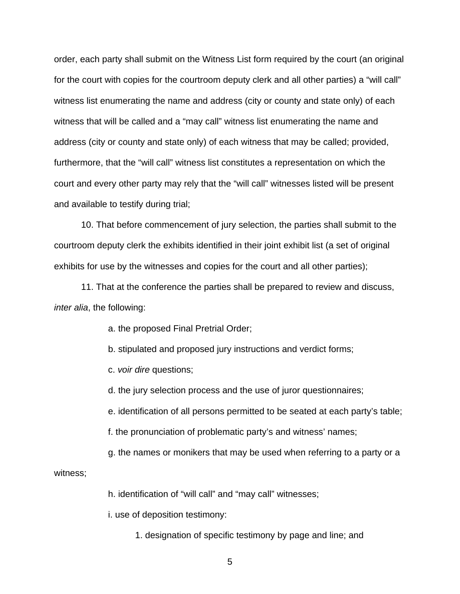order, each party shall submit on the Witness List form required by the court (an original for the court with copies for the courtroom deputy clerk and all other parties) a "will call" witness list enumerating the name and address (city or county and state only) of each witness that will be called and a "may call" witness list enumerating the name and address (city or county and state only) of each witness that may be called; provided, furthermore, that the "will call" witness list constitutes a representation on which the court and every other party may rely that the "will call" witnesses listed will be present and available to testify during trial;

10. That before commencement of jury selection, the parties shall submit to the courtroom deputy clerk the exhibits identified in their joint exhibit list (a set of original exhibits for use by the witnesses and copies for the court and all other parties);

11. That at the conference the parties shall be prepared to review and discuss, inter alia, the following:

a. the proposed Final Pretrial Order;

b. stipulated and proposed jury instructions and verdict forms;

c. voir dire questions;

d. the jury selection process and the use of juror questionnaires;

e. identification of all persons permitted to be seated at each party's table;

f. the pronunciation of problematic party's and witness' names;

g. the names or monikers that may be used when referring to a party or a

witness;

h. identification of "will call" and "may call" witnesses;

i. use of deposition testimony:

1. designation of specific testimony by page and line; and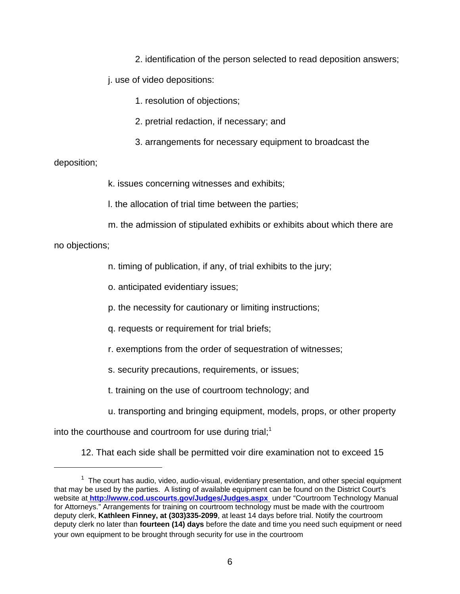2. identification of the person selected to read deposition answers;

j. use of video depositions:

1. resolution of objections;

- 2. pretrial redaction, if necessary; and
- 3. arrangements for necessary equipment to broadcast the

### deposition;

k. issues concerning witnesses and exhibits;

l. the allocation of trial time between the parties;

m. the admission of stipulated exhibits or exhibits about which there are

no objections;

n. timing of publication, if any, of trial exhibits to the jury;

o. anticipated evidentiary issues;

p. the necessity for cautionary or limiting instructions;

q. requests or requirement for trial briefs;

r. exemptions from the order of sequestration of witnesses;

s. security precautions, requirements, or issues;

t. training on the use of courtroom technology; and

u. transporting and bringing equipment, models, props, or other property

into the courthouse and courtroom for use during trial;<sup>1</sup>

12. That each side shall be permitted voir dire examination not to exceed 15

 $1$  The court has audio, video, audio-visual, evidentiary presentation, and other special equipment that may be used by the parties. A listing of available equipment can be found on the District Court's website at **http://www.cod.uscourts.gov/Judges/Judges.aspx** under "Courtroom Technology Manual for Attorneys." Arrangements for training on courtroom technology must be made with the courtroom deputy clerk, **Kathleen Finney, at (303)335-2099**, at least 14 days before trial. Notify the courtroom deputy clerk no later than **fourteen (14) days** before the date and time you need such equipment or need your own equipment to be brought through security for use in the courtroom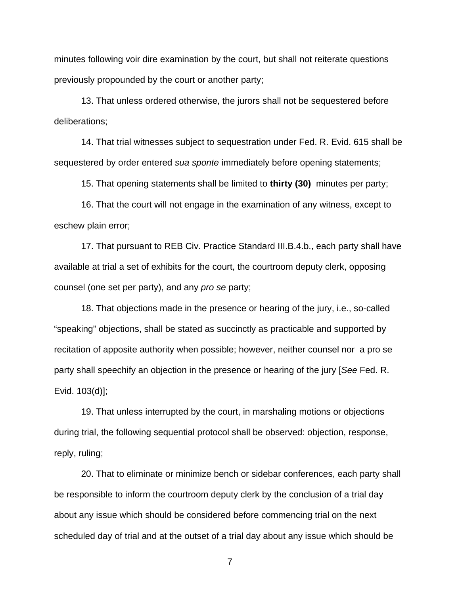minutes following voir dire examination by the court, but shall not reiterate questions previously propounded by the court or another party;

13. That unless ordered otherwise, the jurors shall not be sequestered before deliberations;

14. That trial witnesses subject to sequestration under Fed. R. Evid. 615 shall be sequestered by order entered sua sponte immediately before opening statements;

15. That opening statements shall be limited to **thirty (30)** minutes per party;

16. That the court will not engage in the examination of any witness, except to eschew plain error;

17. That pursuant to REB Civ. Practice Standard III.B.4.b., each party shall have available at trial a set of exhibits for the court, the courtroom deputy clerk, opposing counsel (one set per party), and any pro se party;

18. That objections made in the presence or hearing of the jury, i.e., so-called "speaking" objections, shall be stated as succinctly as practicable and supported by recitation of apposite authority when possible; however, neither counsel nor a pro se party shall speechify an objection in the presence or hearing of the jury [See Fed. R. Evid. 103(d)];

19. That unless interrupted by the court, in marshaling motions or objections during trial, the following sequential protocol shall be observed: objection, response, reply, ruling;

20. That to eliminate or minimize bench or sidebar conferences, each party shall be responsible to inform the courtroom deputy clerk by the conclusion of a trial day about any issue which should be considered before commencing trial on the next scheduled day of trial and at the outset of a trial day about any issue which should be